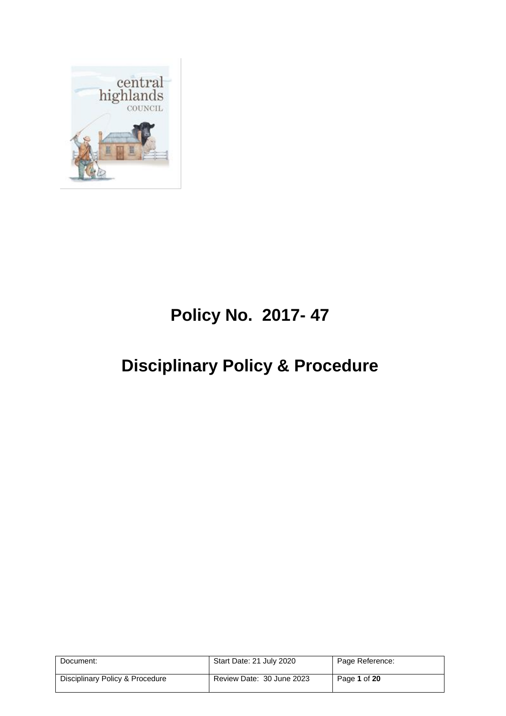

# **Policy No. 2017- 47**

# **Disciplinary Policy & Procedure**

| Document:                       | Start Date: 21 July 2020  | Page Reference: |
|---------------------------------|---------------------------|-----------------|
| Disciplinary Policy & Procedure | Review Date: 30 June 2023 | Page 1 of 20    |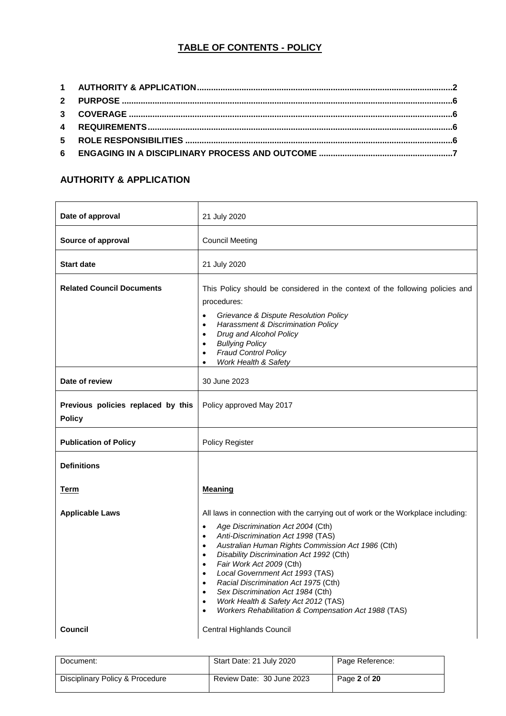# **TABLE OF CONTENTS - POLICY**

#### <span id="page-1-0"></span>**AUTHORITY & APPLICATION**

| Date of approval                                    | 21 July 2020                                                                                                                                                                                                                                                                                                                                                                     |
|-----------------------------------------------------|----------------------------------------------------------------------------------------------------------------------------------------------------------------------------------------------------------------------------------------------------------------------------------------------------------------------------------------------------------------------------------|
| Source of approval                                  | <b>Council Meeting</b>                                                                                                                                                                                                                                                                                                                                                           |
| <b>Start date</b>                                   | 21 July 2020                                                                                                                                                                                                                                                                                                                                                                     |
| <b>Related Council Documents</b>                    | This Policy should be considered in the context of the following policies and<br>procedures:<br>Grievance & Dispute Resolution Policy<br>$\bullet$<br><b>Harassment &amp; Discrimination Policy</b><br>$\bullet$<br>Drug and Alcohol Policy<br>$\bullet$<br><b>Bullying Policy</b><br>$\bullet$<br><b>Fraud Control Policy</b><br>$\bullet$<br>Work Health & Safety<br>$\bullet$ |
| Date of review                                      | 30 June 2023                                                                                                                                                                                                                                                                                                                                                                     |
| Previous policies replaced by this<br><b>Policy</b> | Policy approved May 2017                                                                                                                                                                                                                                                                                                                                                         |
| <b>Publication of Policy</b>                        | Policy Register                                                                                                                                                                                                                                                                                                                                                                  |
| <b>Definitions</b>                                  |                                                                                                                                                                                                                                                                                                                                                                                  |
| Term                                                | Meaning                                                                                                                                                                                                                                                                                                                                                                          |
| <b>Applicable Laws</b>                              | All laws in connection with the carrying out of work or the Workplace including:<br>Age Discrimination Act 2004 (Cth)<br>$\bullet$<br>Anti-Discrimination Act 1998 (TAS)<br>$\bullet$<br>Australian Human Rights Commission Act 1986 (Cth)<br>$\bullet$<br>Disability Discrimination Act 1992 (Cth)<br>$\bullet$                                                                 |
|                                                     | Fair Work Act 2009 (Cth)<br>$\bullet$<br>Local Government Act 1993 (TAS)<br>$\bullet$<br>Racial Discrimination Act 1975 (Cth)<br>$\bullet$<br>Sex Discrimination Act 1984 (Cth)<br>$\bullet$<br>Work Health & Safety Act 2012 (TAS)<br>$\bullet$<br>Workers Rehabilitation & Compensation Act 1988 (TAS)<br>$\bullet$                                                            |

| Document:                       | Start Date: 21 July 2020  | Page Reference: |
|---------------------------------|---------------------------|-----------------|
| Disciplinary Policy & Procedure | Review Date: 30 June 2023 | Page 2 of 20    |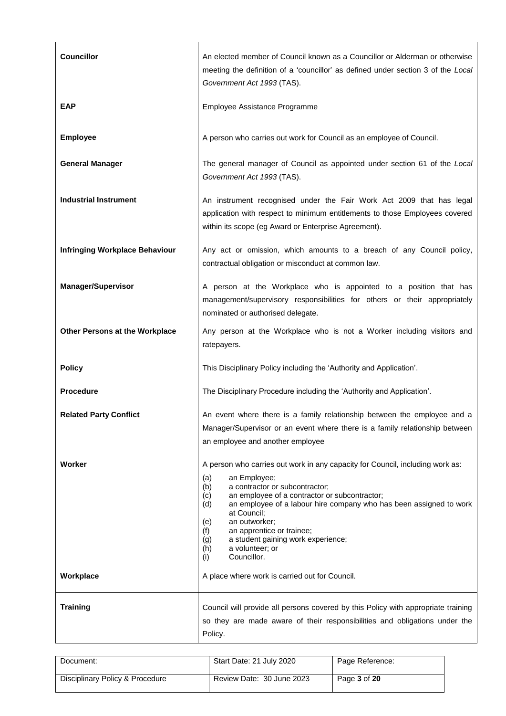| <b>Councillor</b>                     | An elected member of Council known as a Councillor or Alderman or otherwise<br>meeting the definition of a 'councillor' as defined under section 3 of the Local<br>Government Act 1993 (TAS).                                                                                                                                                                                                                                                              |  |
|---------------------------------------|------------------------------------------------------------------------------------------------------------------------------------------------------------------------------------------------------------------------------------------------------------------------------------------------------------------------------------------------------------------------------------------------------------------------------------------------------------|--|
| <b>EAP</b>                            | Employee Assistance Programme                                                                                                                                                                                                                                                                                                                                                                                                                              |  |
| <b>Employee</b>                       | A person who carries out work for Council as an employee of Council.                                                                                                                                                                                                                                                                                                                                                                                       |  |
| <b>General Manager</b>                | The general manager of Council as appointed under section 61 of the Local<br>Government Act 1993 (TAS).                                                                                                                                                                                                                                                                                                                                                    |  |
| <b>Industrial Instrument</b>          | An instrument recognised under the Fair Work Act 2009 that has legal<br>application with respect to minimum entitlements to those Employees covered<br>within its scope (eg Award or Enterprise Agreement).                                                                                                                                                                                                                                                |  |
| <b>Infringing Workplace Behaviour</b> | Any act or omission, which amounts to a breach of any Council policy,<br>contractual obligation or misconduct at common law.                                                                                                                                                                                                                                                                                                                               |  |
| <b>Manager/Supervisor</b>             | A person at the Workplace who is appointed to a position that has<br>management/supervisory responsibilities for others or their appropriately<br>nominated or authorised delegate.                                                                                                                                                                                                                                                                        |  |
| Other Persons at the Workplace        | Any person at the Workplace who is not a Worker including visitors and<br>ratepayers.                                                                                                                                                                                                                                                                                                                                                                      |  |
| <b>Policy</b>                         | This Disciplinary Policy including the 'Authority and Application'.                                                                                                                                                                                                                                                                                                                                                                                        |  |
| <b>Procedure</b>                      | The Disciplinary Procedure including the 'Authority and Application'.                                                                                                                                                                                                                                                                                                                                                                                      |  |
| <b>Related Party Conflict</b>         | An event where there is a family relationship between the employee and a<br>Manager/Supervisor or an event where there is a family relationship between<br>an employee and another employee                                                                                                                                                                                                                                                                |  |
| Worker                                | A person who carries out work in any capacity for Council, including work as:<br>an Employee;<br>(a)<br>(b)<br>a contractor or subcontractor;<br>an employee of a contractor or subcontractor;<br>(c)<br>an employee of a labour hire company who has been assigned to work<br>(d)<br>at Council;<br>an outworker;<br>(e)<br>an apprentice or trainee;<br>(f)<br>a student gaining work experience;<br>(g)<br>a volunteer; or<br>(h)<br>Councillor.<br>(i) |  |
| Workplace                             | A place where work is carried out for Council.                                                                                                                                                                                                                                                                                                                                                                                                             |  |
| <b>Training</b>                       | Council will provide all persons covered by this Policy with appropriate training<br>so they are made aware of their responsibilities and obligations under the<br>Policy.                                                                                                                                                                                                                                                                                 |  |

| Document:                       | Start Date: 21 July 2020  | Page Reference: |
|---------------------------------|---------------------------|-----------------|
| Disciplinary Policy & Procedure | Review Date: 30 June 2023 | Page 3 of 20    |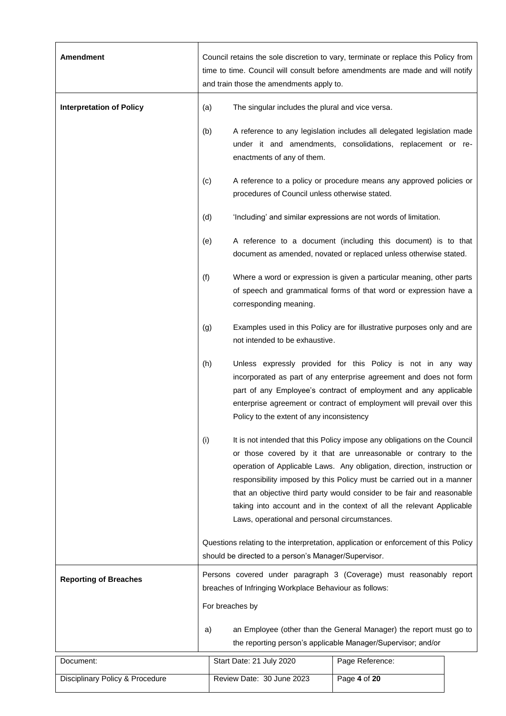| <b>Amendment</b>                | Council retains the sole discretion to vary, terminate or replace this Policy from<br>time to time. Council will consult before amendments are made and will notify<br>and train those the amendments apply to. |                                                                                                                                                                                                                                                                                                                                                                                                                                                                                                      |                                                                                                                                            |  |
|---------------------------------|-----------------------------------------------------------------------------------------------------------------------------------------------------------------------------------------------------------------|------------------------------------------------------------------------------------------------------------------------------------------------------------------------------------------------------------------------------------------------------------------------------------------------------------------------------------------------------------------------------------------------------------------------------------------------------------------------------------------------------|--------------------------------------------------------------------------------------------------------------------------------------------|--|
| <b>Interpretation of Policy</b> | (a)                                                                                                                                                                                                             | The singular includes the plural and vice versa.                                                                                                                                                                                                                                                                                                                                                                                                                                                     |                                                                                                                                            |  |
|                                 | (b)                                                                                                                                                                                                             | enactments of any of them.                                                                                                                                                                                                                                                                                                                                                                                                                                                                           | A reference to any legislation includes all delegated legislation made<br>under it and amendments, consolidations, replacement or re-      |  |
|                                 | (c)                                                                                                                                                                                                             | procedures of Council unless otherwise stated.                                                                                                                                                                                                                                                                                                                                                                                                                                                       | A reference to a policy or procedure means any approved policies or                                                                        |  |
|                                 | (d)                                                                                                                                                                                                             |                                                                                                                                                                                                                                                                                                                                                                                                                                                                                                      | 'Including' and similar expressions are not words of limitation.                                                                           |  |
|                                 | (e)                                                                                                                                                                                                             |                                                                                                                                                                                                                                                                                                                                                                                                                                                                                                      | A reference to a document (including this document) is to that<br>document as amended, novated or replaced unless otherwise stated.        |  |
|                                 | (f)                                                                                                                                                                                                             | corresponding meaning.                                                                                                                                                                                                                                                                                                                                                                                                                                                                               | Where a word or expression is given a particular meaning, other parts<br>of speech and grammatical forms of that word or expression have a |  |
|                                 | (g)                                                                                                                                                                                                             | Examples used in this Policy are for illustrative purposes only and are<br>not intended to be exhaustive.                                                                                                                                                                                                                                                                                                                                                                                            |                                                                                                                                            |  |
|                                 | (h)                                                                                                                                                                                                             | Unless expressly provided for this Policy is not in any way<br>incorporated as part of any enterprise agreement and does not form<br>part of any Employee's contract of employment and any applicable<br>enterprise agreement or contract of employment will prevail over this<br>Policy to the extent of any inconsistency                                                                                                                                                                          |                                                                                                                                            |  |
|                                 | (i)                                                                                                                                                                                                             | It is not intended that this Policy impose any obligations on the Council<br>or those covered by it that are unreasonable or contrary to the<br>operation of Applicable Laws. Any obligation, direction, instruction or<br>responsibility imposed by this Policy must be carried out in a manner<br>that an objective third party would consider to be fair and reasonable<br>taking into account and in the context of all the relevant Applicable<br>Laws, operational and personal circumstances. |                                                                                                                                            |  |
|                                 |                                                                                                                                                                                                                 | Questions relating to the interpretation, application or enforcement of this Policy<br>should be directed to a person's Manager/Supervisor.                                                                                                                                                                                                                                                                                                                                                          |                                                                                                                                            |  |
| <b>Reporting of Breaches</b>    |                                                                                                                                                                                                                 | Persons covered under paragraph 3 (Coverage) must reasonably report<br>breaches of Infringing Workplace Behaviour as follows:                                                                                                                                                                                                                                                                                                                                                                        |                                                                                                                                            |  |
|                                 |                                                                                                                                                                                                                 | For breaches by                                                                                                                                                                                                                                                                                                                                                                                                                                                                                      |                                                                                                                                            |  |
|                                 | a)                                                                                                                                                                                                              |                                                                                                                                                                                                                                                                                                                                                                                                                                                                                                      | an Employee (other than the General Manager) the report must go to<br>the reporting person's applicable Manager/Supervisor; and/or         |  |
| Document:                       |                                                                                                                                                                                                                 | Start Date: 21 July 2020                                                                                                                                                                                                                                                                                                                                                                                                                                                                             | Page Reference:                                                                                                                            |  |
| Disciplinary Policy & Procedure | Page 4 of 20<br>Review Date: 30 June 2023                                                                                                                                                                       |                                                                                                                                                                                                                                                                                                                                                                                                                                                                                                      |                                                                                                                                            |  |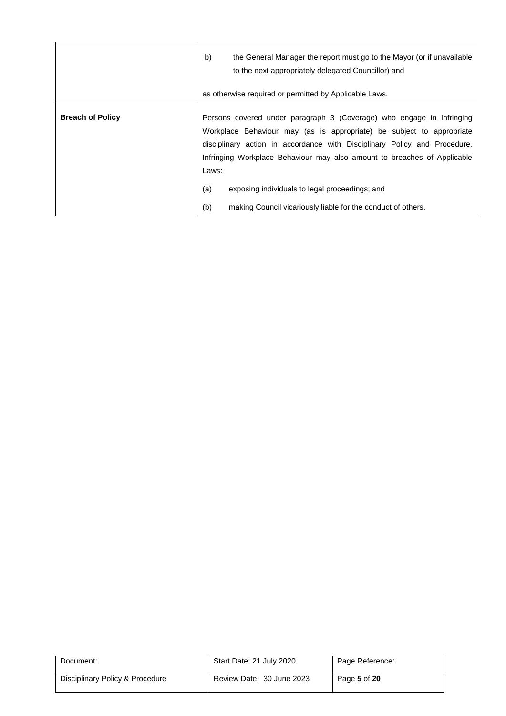|                         | b)<br>the General Manager the report must go to the Mayor (or if unavailable<br>to the next appropriately delegated Councillor) and<br>as otherwise required or permitted by Applicable Laws.                                                                                                                                                                             |
|-------------------------|---------------------------------------------------------------------------------------------------------------------------------------------------------------------------------------------------------------------------------------------------------------------------------------------------------------------------------------------------------------------------|
| <b>Breach of Policy</b> | Persons covered under paragraph 3 (Coverage) who engage in Infringing<br>Workplace Behaviour may (as is appropriate) be subject to appropriate<br>disciplinary action in accordance with Disciplinary Policy and Procedure.<br>Infringing Workplace Behaviour may also amount to breaches of Applicable<br>Laws:<br>(a)<br>exposing individuals to legal proceedings; and |
|                         | (b)<br>making Council vicariously liable for the conduct of others.                                                                                                                                                                                                                                                                                                       |

| Document:                       | Start Date: 21 July 2020  | Page Reference: |
|---------------------------------|---------------------------|-----------------|
| Disciplinary Policy & Procedure | Review Date: 30 June 2023 | Page 5 of 20    |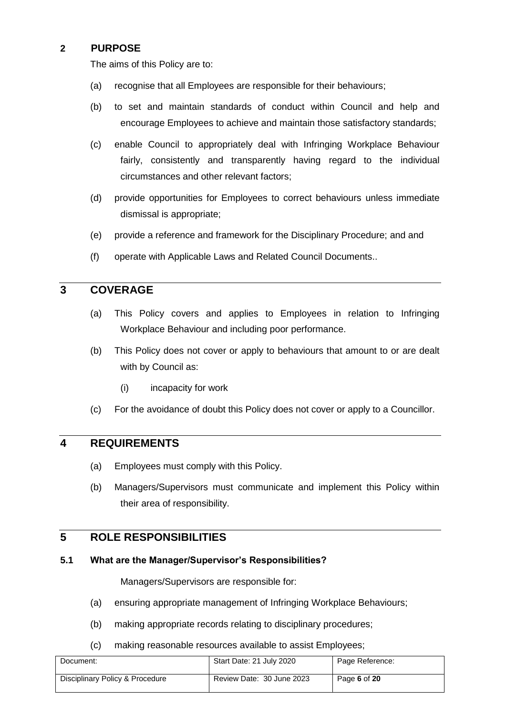#### <span id="page-5-0"></span>**2 PURPOSE**

The aims of this Policy are to:

- (a) recognise that all Employees are responsible for their behaviours;
- (b) to set and maintain standards of conduct within Council and help and encourage Employees to achieve and maintain those satisfactory standards;
- (c) enable Council to appropriately deal with Infringing Workplace Behaviour fairly, consistently and transparently having regard to the individual circumstances and other relevant factors;
- (d) provide opportunities for Employees to correct behaviours unless immediate dismissal is appropriate;
- (e) provide a reference and framework for the Disciplinary Procedure; and and
- (f) operate with Applicable Laws and Related Council Documents..

## <span id="page-5-1"></span>**3 COVERAGE**

- (a) This Policy covers and applies to Employees in relation to Infringing Workplace Behaviour and including poor performance.
- (b) This Policy does not cover or apply to behaviours that amount to or are dealt with by Council as:
	- (i) incapacity for work
- (c) For the avoidance of doubt this Policy does not cover or apply to a Councillor.

#### <span id="page-5-2"></span>**4 REQUIREMENTS**

- (a) Employees must comply with this Policy.
- (b) Managers/Supervisors must communicate and implement this Policy within their area of responsibility.

#### <span id="page-5-3"></span>**5 ROLE RESPONSIBILITIES**

#### **5.1 What are the Manager/Supervisor's Responsibilities?**

Managers/Supervisors are responsible for:

- (a) ensuring appropriate management of Infringing Workplace Behaviours;
- (b) making appropriate records relating to disciplinary procedures;
- (c) making reasonable resources available to assist Employees;

| Document:                       | Start Date: 21 July 2020  | Page Reference: |
|---------------------------------|---------------------------|-----------------|
| Disciplinary Policy & Procedure | Review Date: 30 June 2023 | Page 6 of 20    |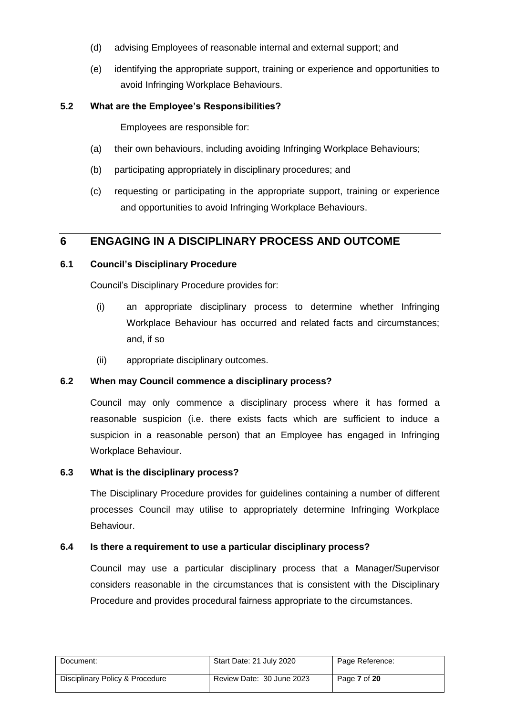- (d) advising Employees of reasonable internal and external support; and
- (e) identifying the appropriate support, training or experience and opportunities to avoid Infringing Workplace Behaviours.

#### **5.2 What are the Employee's Responsibilities?**

Employees are responsible for:

- (a) their own behaviours, including avoiding Infringing Workplace Behaviours;
- (b) participating appropriately in disciplinary procedures; and
- (c) requesting or participating in the appropriate support, training or experience and opportunities to avoid Infringing Workplace Behaviours.

## <span id="page-6-0"></span>**6 ENGAGING IN A DISCIPLINARY PROCESS AND OUTCOME**

#### **6.1 Council's Disciplinary Procedure**

Council's Disciplinary Procedure provides for:

- (i) an appropriate disciplinary process to determine whether Infringing Workplace Behaviour has occurred and related facts and circumstances; and, if so
- (ii) appropriate disciplinary outcomes.

#### **6.2 When may Council commence a disciplinary process?**

Council may only commence a disciplinary process where it has formed a reasonable suspicion (i.e. there exists facts which are sufficient to induce a suspicion in a reasonable person) that an Employee has engaged in Infringing Workplace Behaviour.

#### **6.3 What is the disciplinary process?**

The Disciplinary Procedure provides for guidelines containing a number of different processes Council may utilise to appropriately determine Infringing Workplace Behaviour.

#### **6.4 Is there a requirement to use a particular disciplinary process?**

Council may use a particular disciplinary process that a Manager/Supervisor considers reasonable in the circumstances that is consistent with the Disciplinary Procedure and provides procedural fairness appropriate to the circumstances.

| Document:                       | Start Date: 21 July 2020  | Page Reference: |
|---------------------------------|---------------------------|-----------------|
| Disciplinary Policy & Procedure | Review Date: 30 June 2023 | Page 7 of 20    |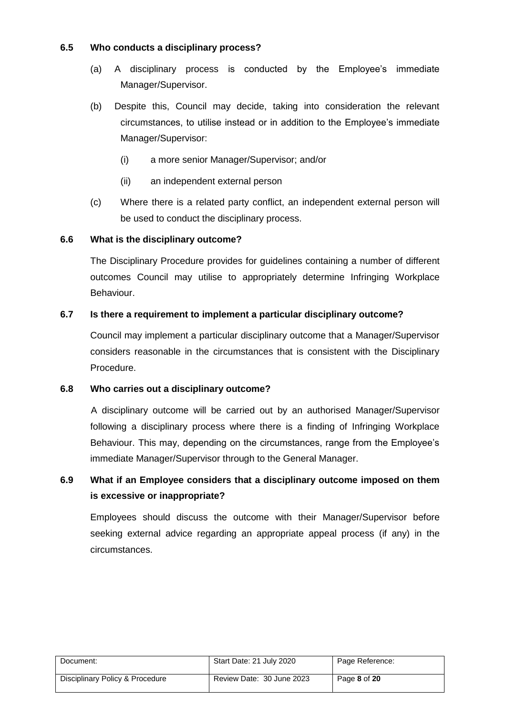#### **6.5 Who conducts a disciplinary process?**

- (a) A disciplinary process is conducted by the Employee's immediate Manager/Supervisor.
- (b) Despite this, Council may decide, taking into consideration the relevant circumstances, to utilise instead or in addition to the Employee's immediate Manager/Supervisor:
	- (i) a more senior Manager/Supervisor; and/or
	- (ii) an independent external person
- (c) Where there is a related party conflict, an independent external person will be used to conduct the disciplinary process.

#### **6.6 What is the disciplinary outcome?**

The Disciplinary Procedure provides for guidelines containing a number of different outcomes Council may utilise to appropriately determine Infringing Workplace Behaviour.

#### **6.7 Is there a requirement to implement a particular disciplinary outcome?**

Council may implement a particular disciplinary outcome that a Manager/Supervisor considers reasonable in the circumstances that is consistent with the Disciplinary Procedure.

#### **6.8 Who carries out a disciplinary outcome?**

A disciplinary outcome will be carried out by an authorised Manager/Supervisor following a disciplinary process where there is a finding of Infringing Workplace Behaviour. This may, depending on the circumstances, range from the Employee's immediate Manager/Supervisor through to the General Manager.

# **6.9 What if an Employee considers that a disciplinary outcome imposed on them is excessive or inappropriate?**

Employees should discuss the outcome with their Manager/Supervisor before seeking external advice regarding an appropriate appeal process (if any) in the circumstances.

| Document:                       | Start Date: 21 July 2020  | Page Reference: |
|---------------------------------|---------------------------|-----------------|
| Disciplinary Policy & Procedure | Review Date: 30 June 2023 | Page 8 of 20    |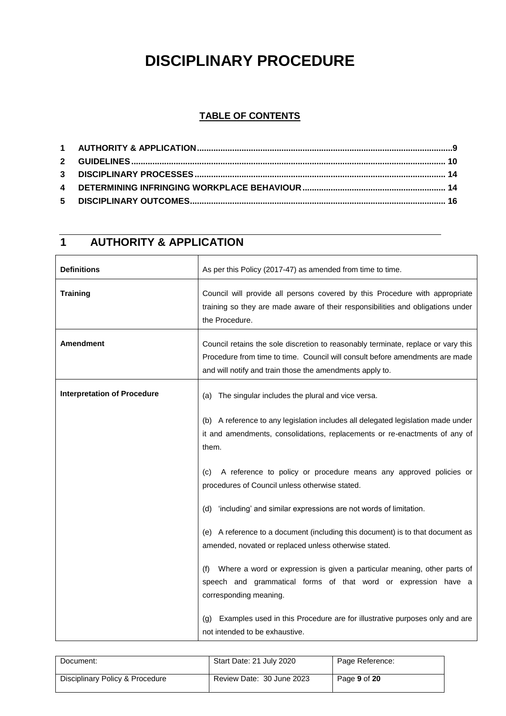# **DISCIPLINARY PROCEDURE**

#### **TABLE OF CONTENTS**

| <b>Definitions</b>                 | As per this Policy (2017-47) as amended from time to time.                                                                                                                                                                    |  |
|------------------------------------|-------------------------------------------------------------------------------------------------------------------------------------------------------------------------------------------------------------------------------|--|
| <b>Training</b>                    | Council will provide all persons covered by this Procedure with appropriate<br>training so they are made aware of their responsibilities and obligations under<br>the Procedure.                                              |  |
| <b>Amendment</b>                   | Council retains the sole discretion to reasonably terminate, replace or vary this<br>Procedure from time to time. Council will consult before amendments are made<br>and will notify and train those the amendments apply to. |  |
| <b>Interpretation of Procedure</b> | The singular includes the plural and vice versa.<br>(a)                                                                                                                                                                       |  |
|                                    | (b) A reference to any legislation includes all delegated legislation made under<br>it and amendments, consolidations, replacements or re-enactments of any of<br>them.                                                       |  |
|                                    | A reference to policy or procedure means any approved policies or<br>(C)<br>procedures of Council unless otherwise stated.                                                                                                    |  |
|                                    | (d) 'including' and similar expressions are not words of limitation.                                                                                                                                                          |  |
|                                    | (e) A reference to a document (including this document) is to that document as<br>amended, novated or replaced unless otherwise stated.                                                                                       |  |
|                                    | Where a word or expression is given a particular meaning, other parts of<br>(f)<br>speech and grammatical forms of that word or expression have a<br>corresponding meaning.                                                   |  |
|                                    | Examples used in this Procedure are for illustrative purposes only and are<br>(g)<br>not intended to be exhaustive.                                                                                                           |  |

# **1 AUTHORITY & APPLICATION**

| Document:                       | Start Date: 21 July 2020  | Page Reference: |
|---------------------------------|---------------------------|-----------------|
| Disciplinary Policy & Procedure | Review Date: 30 June 2023 | Page 9 of 20    |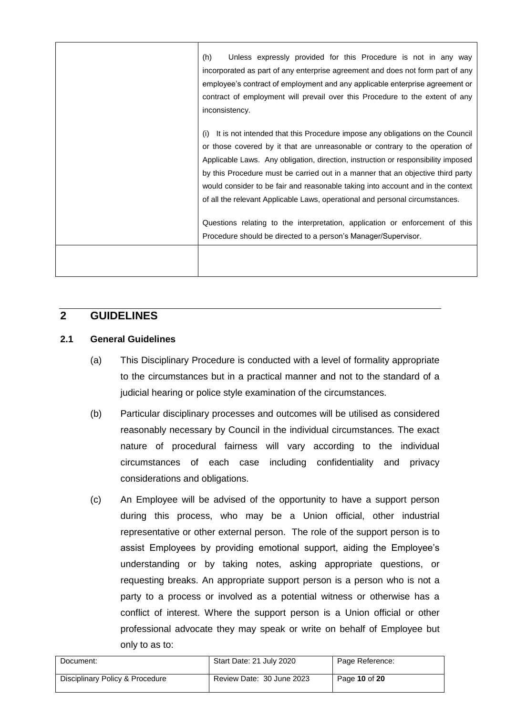| (h)<br>Unless expressly provided for this Procedure is not in any way<br>incorporated as part of any enterprise agreement and does not form part of any<br>employee's contract of employment and any applicable enterprise agreement or<br>contract of employment will prevail over this Procedure to the extent of any<br>inconsistency.                                                                                                                                                                      |
|----------------------------------------------------------------------------------------------------------------------------------------------------------------------------------------------------------------------------------------------------------------------------------------------------------------------------------------------------------------------------------------------------------------------------------------------------------------------------------------------------------------|
| It is not intended that this Procedure impose any obligations on the Council<br>(i)<br>or those covered by it that are unreasonable or contrary to the operation of<br>Applicable Laws. Any obligation, direction, instruction or responsibility imposed<br>by this Procedure must be carried out in a manner that an objective third party<br>would consider to be fair and reasonable taking into account and in the context<br>of all the relevant Applicable Laws, operational and personal circumstances. |
| Questions relating to the interpretation, application or enforcement of this<br>Procedure should be directed to a person's Manager/Supervisor.                                                                                                                                                                                                                                                                                                                                                                 |
|                                                                                                                                                                                                                                                                                                                                                                                                                                                                                                                |

# **2 GUIDELINES**

#### **2.1 General Guidelines**

- (a) This Disciplinary Procedure is conducted with a level of formality appropriate to the circumstances but in a practical manner and not to the standard of a judicial hearing or police style examination of the circumstances.
- (b) Particular disciplinary processes and outcomes will be utilised as considered reasonably necessary by Council in the individual circumstances. The exact nature of procedural fairness will vary according to the individual circumstances of each case including confidentiality and privacy considerations and obligations.
- (c) An Employee will be advised of the opportunity to have a support person during this process, who may be a Union official, other industrial representative or other external person. The role of the support person is to assist Employees by providing emotional support, aiding the Employee's understanding or by taking notes, asking appropriate questions, or requesting breaks. An appropriate support person is a person who is not a party to a process or involved as a potential witness or otherwise has a conflict of interest. Where the support person is a Union official or other professional advocate they may speak or write on behalf of Employee but only to as to:

| Document:                       | Start Date: 21 July 2020  | Page Reference: |
|---------------------------------|---------------------------|-----------------|
| Disciplinary Policy & Procedure | Review Date: 30 June 2023 | Page 10 of 20   |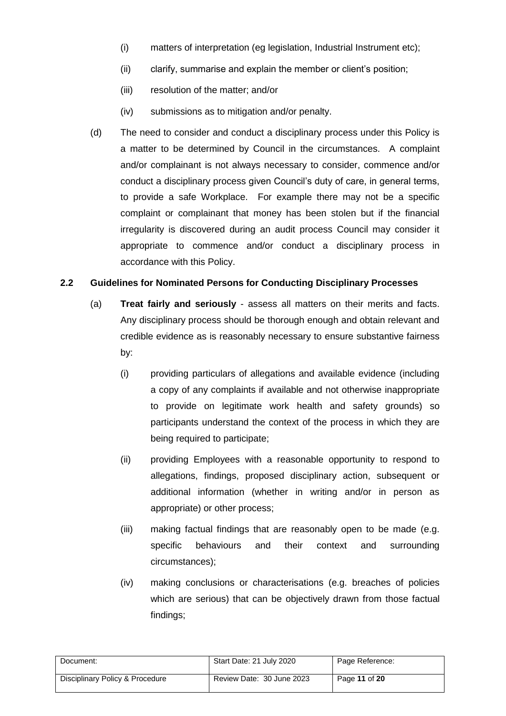- (i) matters of interpretation (eg legislation, Industrial Instrument etc);
- (ii) clarify, summarise and explain the member or client's position;
- (iii) resolution of the matter; and/or
- (iv) submissions as to mitigation and/or penalty.
- (d) The need to consider and conduct a disciplinary process under this Policy is a matter to be determined by Council in the circumstances. A complaint and/or complainant is not always necessary to consider, commence and/or conduct a disciplinary process given Council's duty of care, in general terms, to provide a safe Workplace. For example there may not be a specific complaint or complainant that money has been stolen but if the financial irregularity is discovered during an audit process Council may consider it appropriate to commence and/or conduct a disciplinary process in accordance with this Policy.

#### **2.2 Guidelines for Nominated Persons for Conducting Disciplinary Processes**

- (a) **Treat fairly and seriously** assess all matters on their merits and facts. Any disciplinary process should be thorough enough and obtain relevant and credible evidence as is reasonably necessary to ensure substantive fairness by:
	- (i) providing particulars of allegations and available evidence (including a copy of any complaints if available and not otherwise inappropriate to provide on legitimate work health and safety grounds) so participants understand the context of the process in which they are being required to participate;
	- (ii) providing Employees with a reasonable opportunity to respond to allegations, findings, proposed disciplinary action, subsequent or additional information (whether in writing and/or in person as appropriate) or other process;
	- (iii) making factual findings that are reasonably open to be made (e.g. specific behaviours and their context and surrounding circumstances);
	- (iv) making conclusions or characterisations (e.g. breaches of policies which are serious) that can be objectively drawn from those factual findings;

| Document:                       | Start Date: 21 July 2020  | Page Reference: |
|---------------------------------|---------------------------|-----------------|
| Disciplinary Policy & Procedure | Review Date: 30 June 2023 | Page 11 of 20   |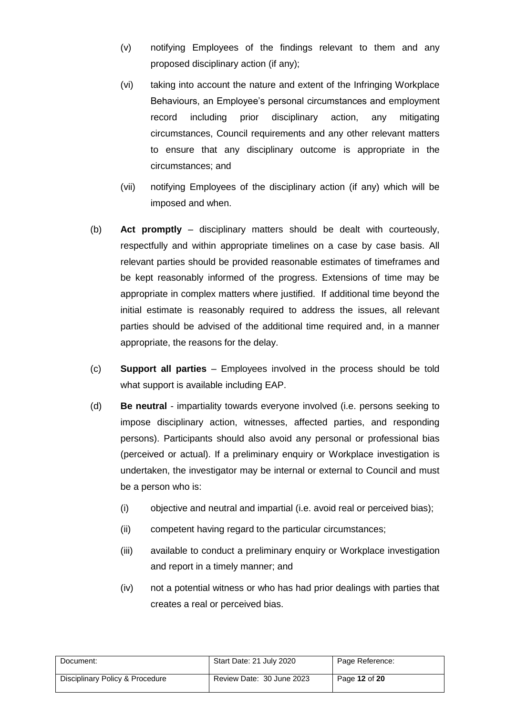- (v) notifying Employees of the findings relevant to them and any proposed disciplinary action (if any);
- (vi) taking into account the nature and extent of the Infringing Workplace Behaviours, an Employee's personal circumstances and employment record including prior disciplinary action, any mitigating circumstances, Council requirements and any other relevant matters to ensure that any disciplinary outcome is appropriate in the circumstances; and
- (vii) notifying Employees of the disciplinary action (if any) which will be imposed and when.
- (b) **Act promptly** disciplinary matters should be dealt with courteously, respectfully and within appropriate timelines on a case by case basis. All relevant parties should be provided reasonable estimates of timeframes and be kept reasonably informed of the progress. Extensions of time may be appropriate in complex matters where justified. If additional time beyond the initial estimate is reasonably required to address the issues, all relevant parties should be advised of the additional time required and, in a manner appropriate, the reasons for the delay.
- (c) **Support all parties** Employees involved in the process should be told what support is available including EAP.
- (d) **Be neutral** impartiality towards everyone involved (i.e. persons seeking to impose disciplinary action, witnesses, affected parties, and responding persons). Participants should also avoid any personal or professional bias (perceived or actual). If a preliminary enquiry or Workplace investigation is undertaken, the investigator may be internal or external to Council and must be a person who is:
	- (i) objective and neutral and impartial (i.e. avoid real or perceived bias);
	- (ii) competent having regard to the particular circumstances;
	- (iii) available to conduct a preliminary enquiry or Workplace investigation and report in a timely manner; and
	- (iv) not a potential witness or who has had prior dealings with parties that creates a real or perceived bias.

| Document:                       | Start Date: 21 July 2020  | Page Reference: |
|---------------------------------|---------------------------|-----------------|
| Disciplinary Policy & Procedure | Review Date: 30 June 2023 | Page 12 of 20   |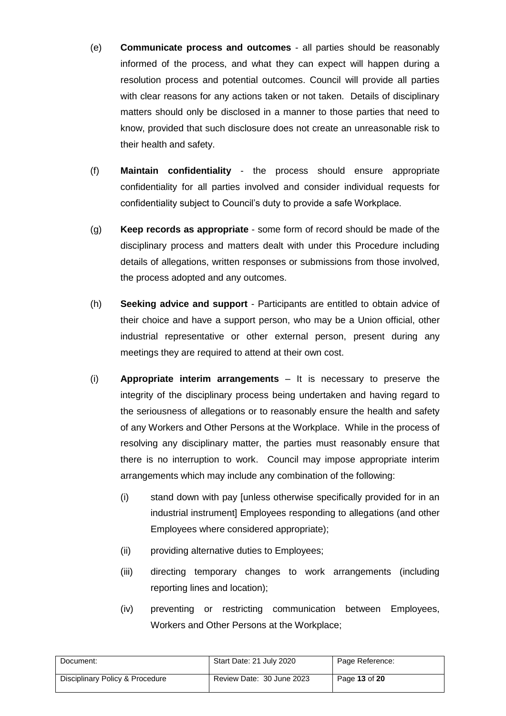- (e) **Communicate process and outcomes** all parties should be reasonably informed of the process, and what they can expect will happen during a resolution process and potential outcomes. Council will provide all parties with clear reasons for any actions taken or not taken. Details of disciplinary matters should only be disclosed in a manner to those parties that need to know, provided that such disclosure does not create an unreasonable risk to their health and safety.
- (f) **Maintain confidentiality** the process should ensure appropriate confidentiality for all parties involved and consider individual requests for confidentiality subject to Council's duty to provide a safe Workplace.
- (g) **Keep records as appropriate** some form of record should be made of the disciplinary process and matters dealt with under this Procedure including details of allegations, written responses or submissions from those involved, the process adopted and any outcomes.
- (h) **Seeking advice and support** Participants are entitled to obtain advice of their choice and have a support person, who may be a Union official, other industrial representative or other external person, present during any meetings they are required to attend at their own cost.
- <span id="page-12-0"></span>(i) **Appropriate interim arrangements** – It is necessary to preserve the integrity of the disciplinary process being undertaken and having regard to the seriousness of allegations or to reasonably ensure the health and safety of any Workers and Other Persons at the Workplace. While in the process of resolving any disciplinary matter, the parties must reasonably ensure that there is no interruption to work. Council may impose appropriate interim arrangements which may include any combination of the following:
	- (i) stand down with pay [unless otherwise specifically provided for in an industrial instrument] Employees responding to allegations (and other Employees where considered appropriate);
	- (ii) providing alternative duties to Employees;
	- (iii) directing temporary changes to work arrangements (including reporting lines and location);
	- (iv) preventing or restricting communication between Employees, Workers and Other Persons at the Workplace;

| Document:                       | Start Date: 21 July 2020  | Page Reference: |
|---------------------------------|---------------------------|-----------------|
| Disciplinary Policy & Procedure | Review Date: 30 June 2023 | Page 13 of 20   |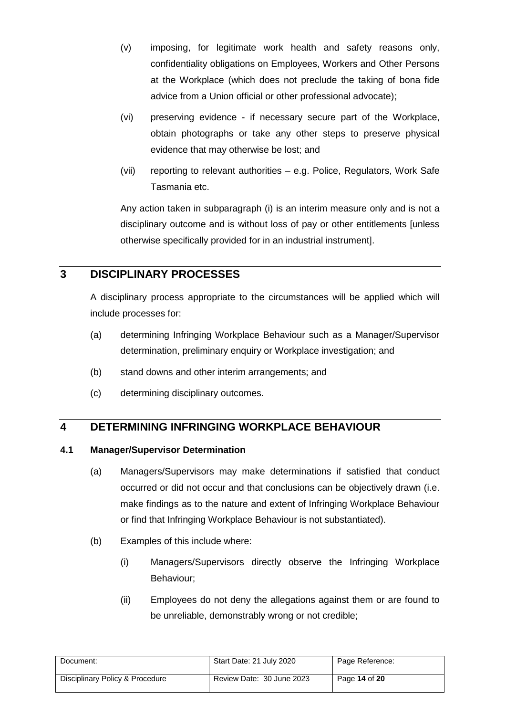- (v) imposing, for legitimate work health and safety reasons only, confidentiality obligations on Employees, Workers and Other Persons at the Workplace (which does not preclude the taking of bona fide advice from a Union official or other professional advocate);
- (vi) preserving evidence if necessary secure part of the Workplace, obtain photographs or take any other steps to preserve physical evidence that may otherwise be lost; and
- (vii) reporting to relevant authorities e.g. Police, Regulators, Work Safe Tasmania etc.

Any action taken in subparagraph [\(i\)](#page-12-0) is an interim measure only and is not a disciplinary outcome and is without loss of pay or other entitlements [unless otherwise specifically provided for in an industrial instrument].

# **3 DISCIPLINARY PROCESSES**

A disciplinary process appropriate to the circumstances will be applied which will include processes for:

- (a) determining Infringing Workplace Behaviour such as a Manager/Supervisor determination, preliminary enquiry or Workplace investigation; and
- (b) stand downs and other interim arrangements; and
- (c) determining disciplinary outcomes.

# **4 DETERMINING INFRINGING WORKPLACE BEHAVIOUR**

#### <span id="page-13-0"></span>**4.1 Manager/Supervisor Determination**

- (a) Managers/Supervisors may make determinations if satisfied that conduct occurred or did not occur and that conclusions can be objectively drawn (i.e. make findings as to the nature and extent of Infringing Workplace Behaviour or find that Infringing Workplace Behaviour is not substantiated).
- (b) Examples of this include where:
	- (i) Managers/Supervisors directly observe the Infringing Workplace Behaviour;
	- (ii) Employees do not deny the allegations against them or are found to be unreliable, demonstrably wrong or not credible;

| Document:                       | Start Date: 21 July 2020  | Page Reference: |
|---------------------------------|---------------------------|-----------------|
| Disciplinary Policy & Procedure | Review Date: 30 June 2023 | Page 14 of 20   |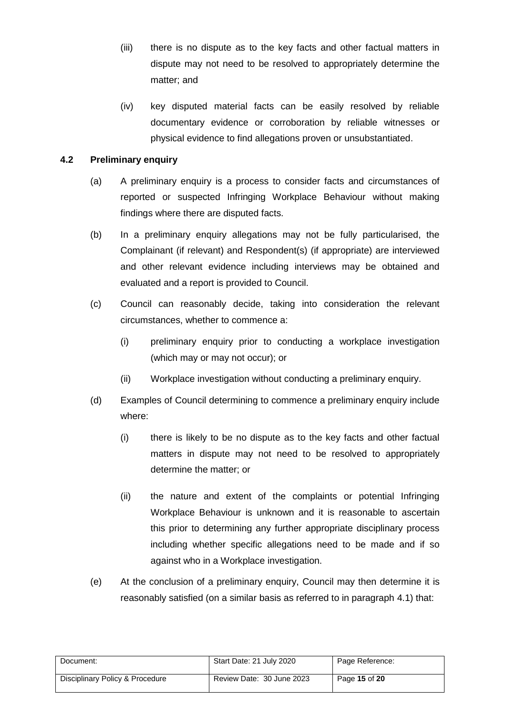- (iii) there is no dispute as to the key facts and other factual matters in dispute may not need to be resolved to appropriately determine the matter; and
- (iv) key disputed material facts can be easily resolved by reliable documentary evidence or corroboration by reliable witnesses or physical evidence to find allegations proven or unsubstantiated.

#### **4.2 Preliminary enquiry**

- (a) A preliminary enquiry is a process to consider facts and circumstances of reported or suspected Infringing Workplace Behaviour without making findings where there are disputed facts.
- (b) In a preliminary enquiry allegations may not be fully particularised, the Complainant (if relevant) and Respondent(s) (if appropriate) are interviewed and other relevant evidence including interviews may be obtained and evaluated and a report is provided to Council.
- (c) Council can reasonably decide, taking into consideration the relevant circumstances, whether to commence a:
	- (i) preliminary enquiry prior to conducting a workplace investigation (which may or may not occur); or
	- (ii) Workplace investigation without conducting a preliminary enquiry.
- (d) Examples of Council determining to commence a preliminary enquiry include where:
	- (i) there is likely to be no dispute as to the key facts and other factual matters in dispute may not need to be resolved to appropriately determine the matter; or
	- (ii) the nature and extent of the complaints or potential Infringing Workplace Behaviour is unknown and it is reasonable to ascertain this prior to determining any further appropriate disciplinary process including whether specific allegations need to be made and if so against who in a Workplace investigation.
- (e) At the conclusion of a preliminary enquiry, Council may then determine it is reasonably satisfied (on a similar basis as referred to in paragraph [4.1\)](#page-13-0) that:

| Document:                       | Start Date: 21 July 2020  | Page Reference: |
|---------------------------------|---------------------------|-----------------|
| Disciplinary Policy & Procedure | Review Date: 30 June 2023 | Page 15 of 20   |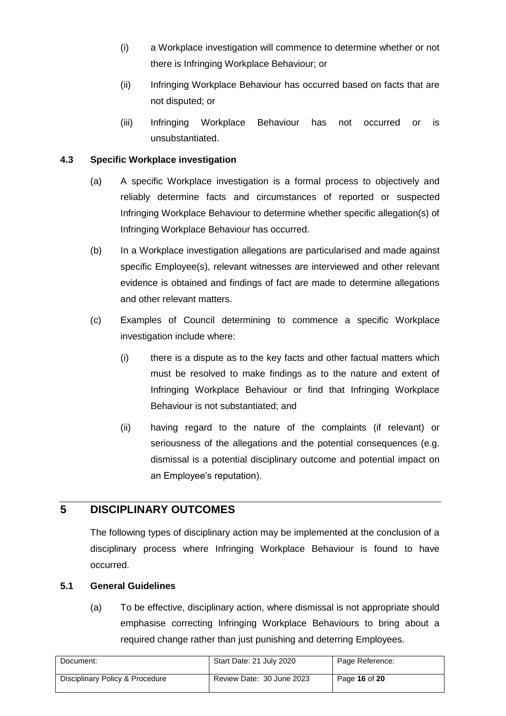- (i) a Workplace investigation will commence to determine whether or not there is Infringing Workplace Behaviour; or
- (ii) Infringing Workplace Behaviour has occurred based on facts that are not disputed; or
- (iii) Infringing Workplace Behaviour has not occurred or is unsubstantiated.

#### **4.3 Specific Workplace investigation**

- (a) A specific Workplace investigation is a formal process to objectively and reliably determine facts and circumstances of reported or suspected Infringing Workplace Behaviour to determine whether specific allegation(s) of Infringing Workplace Behaviour has occurred.
- (b) In a Workplace investigation allegations are particularised and made against specific Employee(s), relevant witnesses are interviewed and other relevant evidence is obtained and findings of fact are made to determine allegations and other relevant matters.
- (c) Examples of Council determining to commence a specific Workplace investigation include where:
	- (i) there is a dispute as to the key facts and other factual matters which must be resolved to make findings as to the nature and extent of Infringing Workplace Behaviour or find that Infringing Workplace Behaviour is not substantiated; and
	- (ii) having regard to the nature of the complaints (if relevant) or seriousness of the allegations and the potential consequences (e.g. dismissal is a potential disciplinary outcome and potential impact on an Employee's reputation).

# **5 DISCIPLINARY OUTCOMES**

The following types of disciplinary action may be implemented at the conclusion of a disciplinary process where Infringing Workplace Behaviour is found to have occurred.

#### **5.1 General Guidelines**

(a) To be effective, disciplinary action, where dismissal is not appropriate should emphasise correcting Infringing Workplace Behaviours to bring about a required change rather than just punishing and deterring Employees.

| Document:                       | Start Date: 21 July 2020  | Page Reference: |
|---------------------------------|---------------------------|-----------------|
| Disciplinary Policy & Procedure | Review Date: 30 June 2023 | Page 16 of 20   |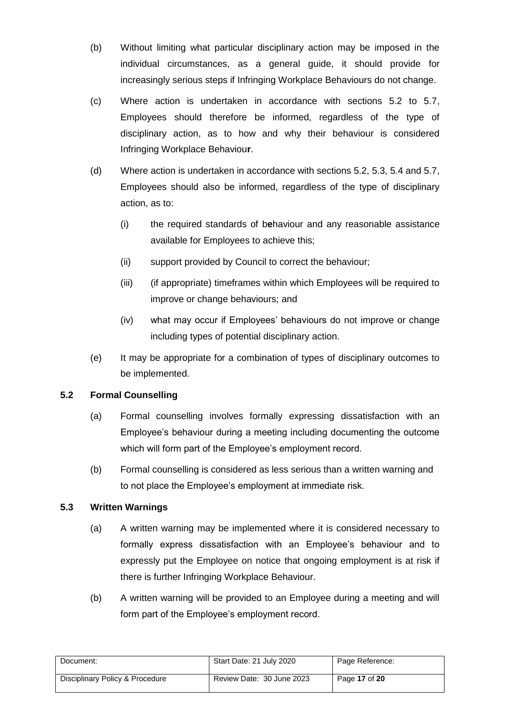- (b) Without limiting what particular disciplinary action may be imposed in the individual circumstances, as a general guide, it should provide for increasingly serious steps if Infringing Workplace Behaviours do not change.
- (c) Where action is undertaken in accordance with sections 5.2 to 5.7, Employees should therefore be informed, regardless of the type of disciplinary action, as to how and why their behaviour is considered Infringing Workplace Behaviou**r**.
- (d) Where action is undertaken in accordance with sections 5.2, 5.3, 5.4 and 5.7, Employees should also be informed, regardless of the type of disciplinary action, as to:
	- (i) the required standards of b**e**haviour and any reasonable assistance available for Employees to achieve this;
	- (ii) support provided by Council to correct the behaviour;
	- (iii) (if appropriate) timeframes within which Employees will be required to improve or change behaviours; and
	- (iv) what may occur if Employees' behaviours do not improve or change including types of potential disciplinary action.
- (e) It may be appropriate for a combination of types of disciplinary outcomes to be implemented.

#### **5.2 Formal Counselling**

- (a) Formal counselling involves formally expressing dissatisfaction with an Employee's behaviour during a meeting including documenting the outcome which will form part of the Employee's employment record.
- (b) Formal counselling is considered as less serious than a written warning and to not place the Employee's employment at immediate risk.

## **5.3 Written Warnings**

- (a) A written warning may be implemented where it is considered necessary to formally express dissatisfaction with an Employee's behaviour and to expressly put the Employee on notice that ongoing employment is at risk if there is further Infringing Workplace Behaviour.
- (b) A written warning will be provided to an Employee during a meeting and will form part of the Employee's employment record.

| Document:                       | Start Date: 21 July 2020  | Page Reference: |
|---------------------------------|---------------------------|-----------------|
| Disciplinary Policy & Procedure | Review Date: 30 June 2023 | Page 17 of 20   |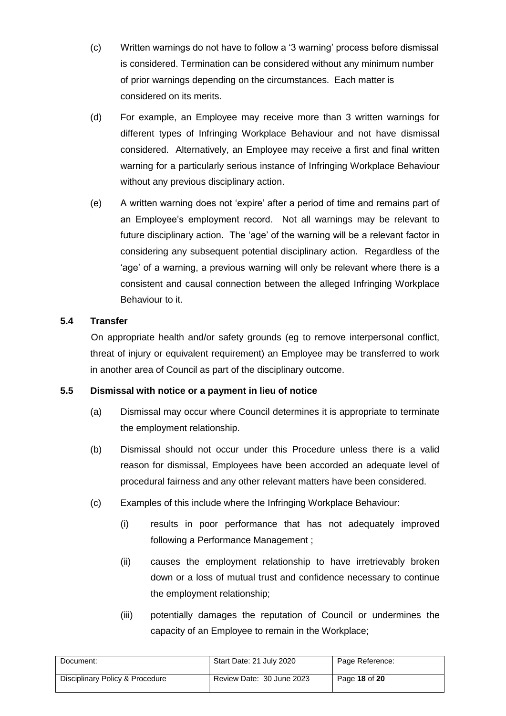- (c) Written warnings do not have to follow a '3 warning' process before dismissal is considered. Termination can be considered without any minimum number of prior warnings depending on the circumstances. Each matter is considered on its merits.
- (d) For example, an Employee may receive more than 3 written warnings for different types of Infringing Workplace Behaviour and not have dismissal considered. Alternatively, an Employee may receive a first and final written warning for a particularly serious instance of Infringing Workplace Behaviour without any previous disciplinary action.
- (e) A written warning does not 'expire' after a period of time and remains part of an Employee's employment record. Not all warnings may be relevant to future disciplinary action. The 'age' of the warning will be a relevant factor in considering any subsequent potential disciplinary action. Regardless of the 'age' of a warning, a previous warning will only be relevant where there is a consistent and causal connection between the alleged Infringing Workplace Behaviour to it.

#### **5.4 Transfer**

On appropriate health and/or safety grounds (eg to remove interpersonal conflict, threat of injury or equivalent requirement) an Employee may be transferred to work in another area of Council as part of the disciplinary outcome.

#### **5.5 Dismissal with notice or a payment in lieu of notice**

- (a) Dismissal may occur where Council determines it is appropriate to terminate the employment relationship.
- (b) Dismissal should not occur under this Procedure unless there is a valid reason for dismissal, Employees have been accorded an adequate level of procedural fairness and any other relevant matters have been considered.
- (c) Examples of this include where the Infringing Workplace Behaviour:
	- (i) results in poor performance that has not adequately improved following a Performance Management ;
	- (ii) causes the employment relationship to have irretrievably broken down or a loss of mutual trust and confidence necessary to continue the employment relationship;
	- (iii) potentially damages the reputation of Council or undermines the capacity of an Employee to remain in the Workplace;

| Document:                       | Start Date: 21 July 2020  | Page Reference: |
|---------------------------------|---------------------------|-----------------|
| Disciplinary Policy & Procedure | Review Date: 30 June 2023 | Page 18 of 20   |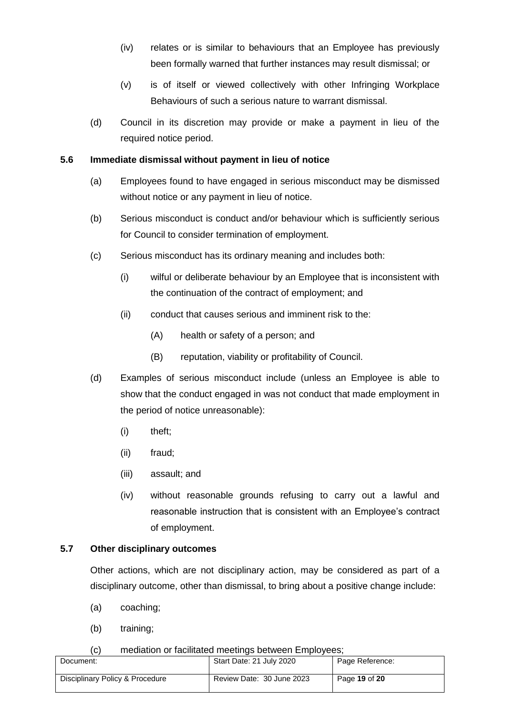- (iv) relates or is similar to behaviours that an Employee has previously been formally warned that further instances may result dismissal; or
- (v) is of itself or viewed collectively with other Infringing Workplace Behaviours of such a serious nature to warrant dismissal.
- (d) Council in its discretion may provide or make a payment in lieu of the required notice period.

#### **5.6 Immediate dismissal without payment in lieu of notice**

- (a) Employees found to have engaged in serious misconduct may be dismissed without notice or any payment in lieu of notice.
- (b) Serious misconduct is conduct and/or behaviour which is sufficiently serious for Council to consider termination of employment.
- (c) Serious misconduct has its ordinary meaning and includes both:
	- (i) wilful or deliberate behaviour by an Employee that is inconsistent with the continuation of the contract of employment; and
	- (ii) conduct that causes serious and imminent risk to the:
		- (A) health or safety of a person; and
		- (B) reputation, viability or profitability of Council.
- (d) Examples of serious misconduct include (unless an Employee is able to show that the conduct engaged in was not conduct that made employment in the period of notice unreasonable):
	- (i) theft;
	- (ii) fraud;
	- (iii) assault; and
	- (iv) without reasonable grounds refusing to carry out a lawful and reasonable instruction that is consistent with an Employee's contract of employment.

#### <span id="page-18-0"></span>**5.7 Other disciplinary outcomes**

Other actions, which are not disciplinary action, may be considered as part of a disciplinary outcome, other than dismissal, to bring about a positive change include:

- (a) coaching;
- (b) training;

#### (c) mediation or facilitated meetings between Employees;

| .                               |                           |                 |
|---------------------------------|---------------------------|-----------------|
| Document:                       | Start Date: 21 July 2020  | Page Reference: |
| Disciplinary Policy & Procedure | Review Date: 30 June 2023 | Page 19 of 20   |